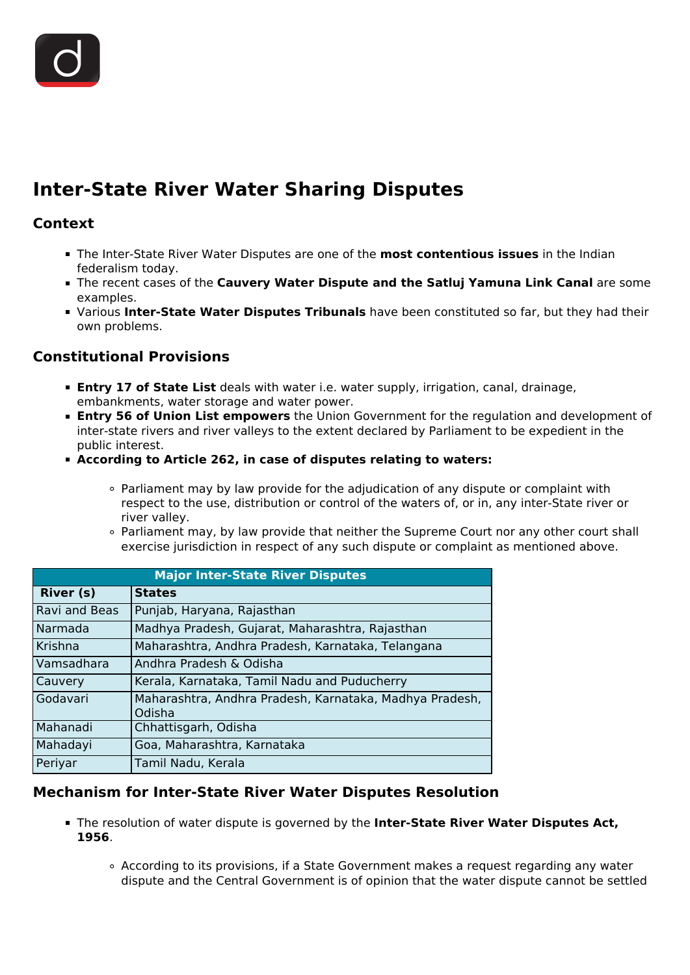

# **Inter-State River Water Sharing Disputes**

### **Context**

- The Inter-State River Water Disputes are one of the **most contentious issues** in the Indian federalism today.
- The recent cases of the **Cauvery Water Dispute and the Satluj Yamuna Link Canal** are some examples.
- Various **Inter-State Water Disputes Tribunals** have been constituted so far, but they had their own problems.

# **Constitutional Provisions**

- **Entry 17 of State List** deals with water i.e. water supply, irrigation, canal, drainage, embankments, water storage and water power.
- **Entry 56 of Union List empowers** the Union Government for the regulation and development of inter-state rivers and river valleys to the extent declared by Parliament to be expedient in the public interest.
- **According to Article 262, in case of disputes relating to waters:**
	- Parliament may by law provide for the adjudication of any dispute or complaint with respect to the use, distribution or control of the waters of, or in, any inter-State river or river valley.
	- Parliament may, by law provide that neither the Supreme Court nor any other court shall exercise jurisdiction in respect of any such dispute or complaint as mentioned above.

| <b>Major Inter-State River Disputes</b> |                                                                   |
|-----------------------------------------|-------------------------------------------------------------------|
| <b>River (s)</b>                        | <b>States</b>                                                     |
| Ravi and Beas                           | Punjab, Haryana, Rajasthan                                        |
| Narmada                                 | Madhya Pradesh, Gujarat, Maharashtra, Rajasthan                   |
| Krishna                                 | Maharashtra, Andhra Pradesh, Karnataka, Telangana                 |
| Vamsadhara                              | Andhra Pradesh & Odisha                                           |
| Cauvery                                 | Kerala, Karnataka, Tamil Nadu and Puducherry                      |
| Godavari                                | Maharashtra, Andhra Pradesh, Karnataka, Madhya Pradesh,<br>Odisha |
| Mahanadi                                | Chhattisgarh, Odisha                                              |
| Mahadayi                                | Goa, Maharashtra, Karnataka                                       |
| Periyar                                 | Tamil Nadu, Kerala                                                |

#### **Mechanism for Inter-State River Water Disputes Resolution**

- The resolution of water dispute is governed by the **Inter-State River Water Disputes Act, 1956**.
	- According to its provisions, if a State Government makes a request regarding any water dispute and the Central Government is of opinion that the water dispute cannot be settled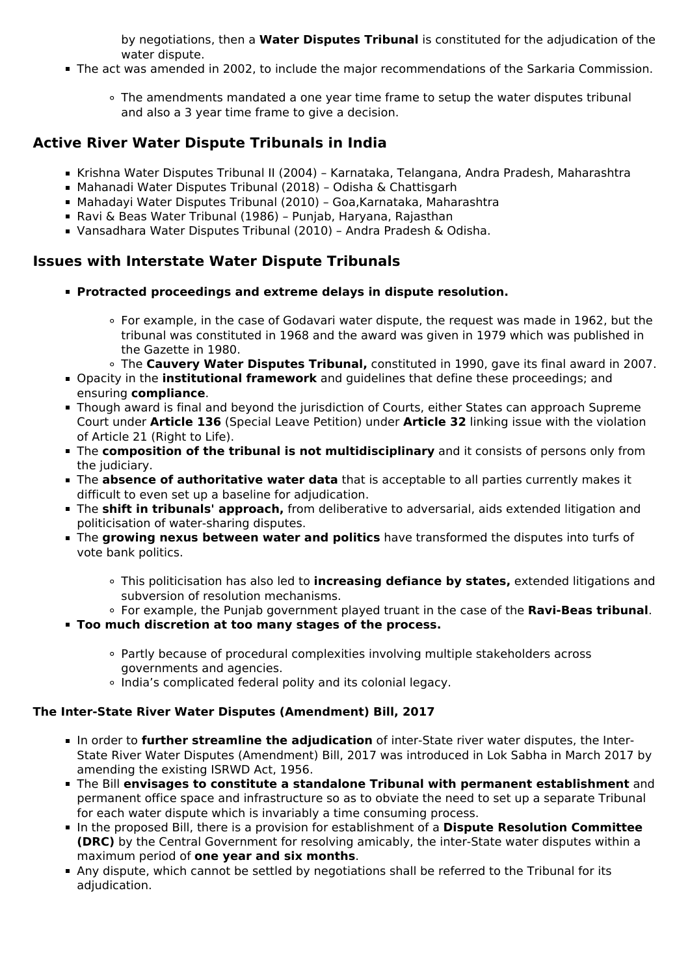by negotiations, then a **Water Disputes Tribunal** is constituted for the adjudication of the water dispute.

- The act was amended in 2002, to include the major recommendations of the Sarkaria Commission.
	- The amendments mandated a one year time frame to setup the water disputes tribunal and also a 3 year time frame to give a decision.

### **Active River Water Dispute Tribunals in India**

- Krishna Water Disputes Tribunal II (2004) Karnataka, Telangana, Andra Pradesh, Maharashtra
- Mahanadi Water Disputes Tribunal (2018) Odisha & Chattisgarh
- Mahadayi Water Disputes Tribunal (2010) Goa,Karnataka, Maharashtra
- Ravi & Beas Water Tribunal (1986) Punjab, Haryana, Rajasthan
- Vansadhara Water Disputes Tribunal (2010) Andra Pradesh & Odisha.

# **Issues with Interstate Water Dispute Tribunals**

- **Protracted proceedings and extreme delays in dispute resolution.**
	- For example, in the case of Godavari water dispute, the request was made in 1962, but the tribunal was constituted in 1968 and the award was given in 1979 which was published in the Gazette in 1980.
	- The **Cauvery Water Disputes Tribunal,** constituted in 1990, gave its final award in 2007.
- Opacity in the **institutional framework** and guidelines that define these proceedings; and ensuring **compliance**.
- **Though award is final and beyond the jurisdiction of Courts, either States can approach Supreme** Court under **Article 136** (Special Leave Petition) under **Article 32** linking issue with the violation of Article 21 (Right to Life).
- The **composition of the tribunal is not multidisciplinary** and it consists of persons only from the judiciary.
- The **absence of authoritative water data** that is acceptable to all parties currently makes it difficult to even set up a baseline for adjudication.
- The **shift in tribunals' approach,** from deliberative to adversarial, aids extended litigation and politicisation of water-sharing disputes.
- The **growing nexus between water and politics** have transformed the disputes into turfs of vote bank politics.
	- This politicisation has also led to **increasing defiance by states,** extended litigations and subversion of resolution mechanisms.
	- For example, the Punjab government played truant in the case of the **Ravi-Beas tribunal**.
- **Too much discretion at too many stages of the process.**
	- Partly because of procedural complexities involving multiple stakeholders across governments and agencies.
	- India's complicated federal polity and its colonial legacy.

#### **The Inter-State River Water Disputes (Amendment) Bill, 2017**

- In order to **further streamline the adjudication** of inter-State river water disputes, the Inter-State River Water Disputes (Amendment) Bill, 2017 was introduced in Lok Sabha in March 2017 by amending the existing ISRWD Act, 1956.
- The Bill **envisages to constitute a standalone Tribunal with permanent establishment** and permanent office space and infrastructure so as to obviate the need to set up a separate Tribunal for each water dispute which is invariably a time consuming process.
- In the proposed Bill, there is a provision for establishment of a **Dispute Resolution Committee (DRC)** by the Central Government for resolving amicably, the inter-State water disputes within a maximum period of **one year and six months**.
- Any dispute, which cannot be settled by negotiations shall be referred to the Tribunal for its adjudication.